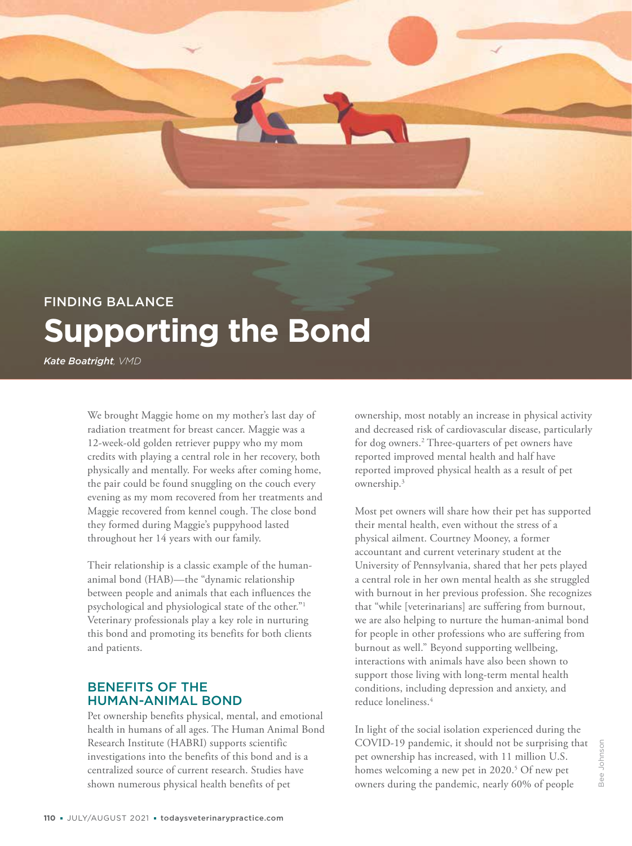# FINDING BALANCE **Supporting the Bond**

*Kate Boatright, VMD*

FINDING BALANCE

We brought Maggie home on my mother's last day of radiation treatment for breast cancer. Maggie was a 12-week-old golden retriever puppy who my mom credits with playing a central role in her recovery, both physically and mentally. For weeks after coming home, the pair could be found snuggling on the couch every evening as my mom recovered from her treatments and Maggie recovered from kennel cough. The close bond they formed during Maggie's puppyhood lasted throughout her 14 years with our family.

Their relationship is a classic example of the humananimal bond (HAB)—the "dynamic relationship between people and animals that each influences the psychological and physiological state of the other."1 Veterinary professionals play a key role in nurturing this bond and promoting its benefits for both clients and patients.

## BENEFITS OF THE HUMAN-ANIMAL BOND

Pet ownership benefits physical, mental, and emotional health in humans of all ages. The Human Animal Bond Research Institute (HABRI) supports scientific investigations into the benefits of this bond and is a centralized source of current research. Studies have shown numerous physical health benefits of pet

ownership, most notably an increase in physical activity and decreased risk of cardiovascular disease, particularly for dog owners.2 Three-quarters of pet owners have reported improved mental health and half have reported improved physical health as a result of pet ownership.3

Most pet owners will share how their pet has supported their mental health, even without the stress of a physical ailment. Courtney Mooney, a former accountant and current veterinary student at the University of Pennsylvania, shared that her pets played a central role in her own mental health as she struggled with burnout in her previous profession. She recognizes that "while [veterinarians] are suffering from burnout, we are also helping to nurture the human-animal bond for people in other professions who are suffering from burnout as well." Beyond supporting wellbeing, interactions with animals have also been shown to support those living with long-term mental health conditions, including depression and anxiety, and reduce loneliness.4

In light of the social isolation experienced during the COVID-19 pandemic, it should not be surprising that pet ownership has increased, with 11 million U.S. homes welcoming a new pet in 2020.<sup>5</sup> Of new pet owners during the pandemic, nearly 60% of people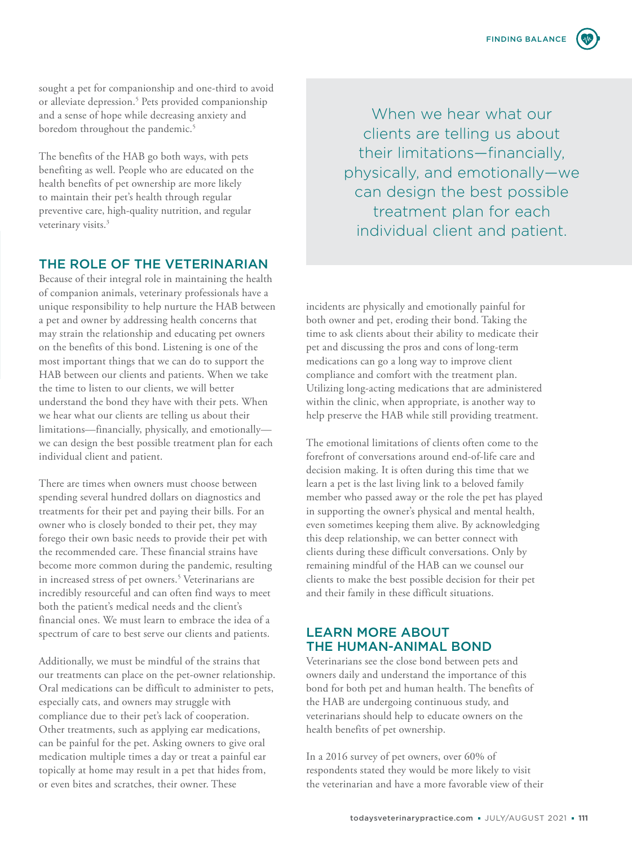sought a pet for companionship and one-third to avoid or alleviate depression.<sup>5</sup> Pets provided companionship and a sense of hope while decreasing anxiety and boredom throughout the pandemic.<sup>5</sup>

The benefits of the HAB go both ways, with pets benefiting as well. People who are educated on the health benefits of pet ownership are more likely to maintain their pet's health through regular preventive care, high-quality nutrition, and regular veterinary visits.<sup>3</sup>

## THE ROLE OF THE VETERINARIAN

Because of their integral role in maintaining the health of companion animals, veterinary professionals have a unique responsibility to help nurture the HAB between a pet and owner by addressing health concerns that may strain the relationship and educating pet owners on the benefits of this bond. Listening is one of the most important things that we can do to support the HAB between our clients and patients. When we take the time to listen to our clients, we will better understand the bond they have with their pets. When we hear what our clients are telling us about their limitations—financially, physically, and emotionally we can design the best possible treatment plan for each individual client and patient.

There are times when owners must choose between spending several hundred dollars on diagnostics and treatments for their pet and paying their bills. For an owner who is closely bonded to their pet, they may forego their own basic needs to provide their pet with the recommended care. These financial strains have become more common during the pandemic, resulting in increased stress of pet owners.<sup>5</sup> Veterinarians are incredibly resourceful and can often find ways to meet both the patient's medical needs and the client's financial ones. We must learn to embrace the idea of a spectrum of care to best serve our clients and patients.

Additionally, we must be mindful of the strains that our treatments can place on the pet-owner relationship. Oral medications can be difficult to administer to pets, especially cats, and owners may struggle with compliance due to their pet's lack of cooperation. Other treatments, such as applying ear medications, can be painful for the pet. Asking owners to give oral medication multiple times a day or treat a painful ear topically at home may result in a pet that hides from, or even bites and scratches, their owner. These

When we hear what our clients are telling us about their limitations—financially, physically, and emotionally—we can design the best possible treatment plan for each individual client and patient.

incidents are physically and emotionally painful for both owner and pet, eroding their bond. Taking the time to ask clients about their ability to medicate their pet and discussing the pros and cons of long-term medications can go a long way to improve client compliance and comfort with the treatment plan. Utilizing long-acting medications that are administered within the clinic, when appropriate, is another way to help preserve the HAB while still providing treatment.

The emotional limitations of clients often come to the forefront of conversations around end-of-life care and decision making. It is often during this time that we learn a pet is the last living link to a beloved family member who passed away or the role the pet has played in supporting the owner's physical and mental health, even sometimes keeping them alive. By acknowledging this deep relationship, we can better connect with clients during these difficult conversations. Only by remaining mindful of the HAB can we counsel our clients to make the best possible decision for their pet and their family in these difficult situations.

#### LEARN MORE ABOUT THE HUMAN-ANIMAL BOND

Veterinarians see the close bond between pets and owners daily and understand the importance of this bond for both pet and human health. The benefits of the HAB are undergoing continuous study, and veterinarians should help to educate owners on the health benefits of pet ownership.

In a 2016 survey of pet owners, over 60% of respondents stated they would be more likely to visit the veterinarian and have a more favorable view of their